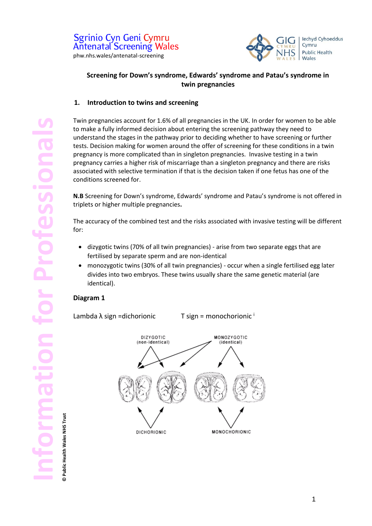

# **Screening for Down's syndrome, Edwards' syndrome and Patau's syndrome in twin pregnancies**

### **1. Introduction to twins and screening**

Twin pregnancies account for 1.6% of all pregnancies in the UK. In order for women to be able to make a fully informed decision about entering the screening pathway they need to understand the stages in the pathway prior to deciding whether to have screening or further tests. Decision making for women around the offer of screening for these conditions in a twin pregnancy is more complicated than in singleton pregnancies. Invasive testing in a twin pregnancy carries a higher risk of miscarriage than a singleton pregnancy and there are risks associated with selective termination if that is the decision taken if one fetus has one of the conditions screened for.

**N.B** Screening for Down's syndrome, Edwards' syndrome and Patau's syndrome is not offered in triplets or higher multiple pregnancies**.** 

The accuracy of the combined test and the risks associated with invasive testing will be different for:

- dizygotic twins (70% of all twin pregnancies) arise from two separate eggs that are fertilised by separate sperm and are non-identical
- monozygotic twins (30% of all twin pregnancies) occur when a single fertilised egg later divides into two embryos. These twins usually share the same genetic material (are identical).

### **Diagram 1**

Lambda  $\lambda$  sign =dichorionic T sign = monochorionic  $\lambda$ 



**© Public Health Wales NHS Trust**

Public Health Wales NHS Trust

ര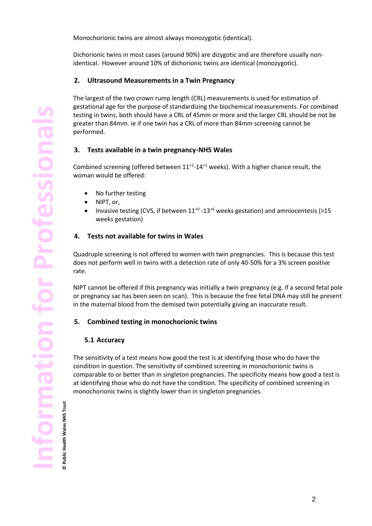Monochorionic twins are almost always monozygotic (identical).

Dichorionic twins in most cases (around 90%) are dizygotic and are therefore usually nonidentical. However around 10% of dichorionic twins are identical (monozygotic).

### **2. Ultrasound Measurements in a Twin Pregnancy**

The largest of the two crown rump length (CRL) measurements is used for estimation of gestational age for the purpose of standardizing the biochemical measurements. For combined testing in twins, both should have a CRL of 45mm or more and the larger CRL should be not be greater than 84mm. ie if one twin has a CRL of more than 84mm screening cannot be performed.

### **3. Tests available in a twin pregnancy-NHS Wales**

Combined screening (offered between  $11^{+2}$ - $14^{+1}$  weeks). With a higher chance result, the woman would be offered:

- No further testing
- NIPT, or,
- Invasive testing (CVS, if between  $11^{+0}$  -13<sup>+6</sup> weeks gestation) and amniocentesis (>15 weeks gestation)

#### **4. Tests not available for twins in Wales**

Quadruple screening is not offered to women with twin pregnancies. This is because this test does not perform well in twins with a detection rate of only 40-50% for a 3% screen positive rate.

NIPT cannot be offered if this pregnancy was initially a twin pregnancy (e.g. if a second fetal pole or pregnancy sac has been seen on scan). This is because the free fetal DNA may still be present in the maternal blood from the demised twin potentially giving an inaccurate result.

#### **5. Combined testing in monochorionic twins**

#### **5.1 Accuracy**

The sensitivity of a test means how good the test is at identifying those who do have the condition in question. The sensitivity of combined screening in monochorionic twins is comparable to or better than in singleton pregnancies. The specificity means how good a test is at identifying those who do not have the condition. The specificity of combined screening in monochorionic twins is slightly lower than in singleton pregnancies.

**© Public Health Wales NHS Trust**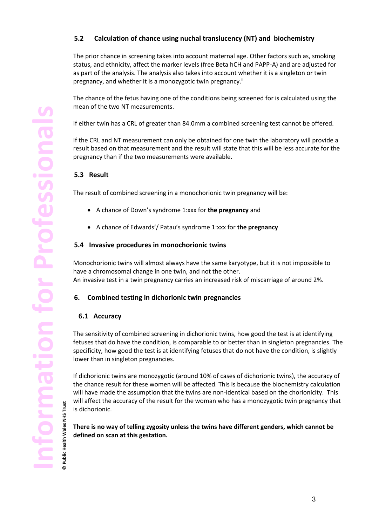# **5.2 Calculation of chance using nuchal translucency (NT) and biochemistry**

The prior chance in screening takes into account maternal age. Other factors such as, smoking status, and ethnicity, affect the marker levels (free Beta hCH and PAPP-A) and are adjusted for as part of the analysis. The analysis also takes into account whether it is a singleton or twin pregnancy, and whether it is a monozygotic twin pregnancy.<sup>ii</sup>

The chance of the fetus having one of the conditions being screened for is calculated using the mean of the two NT measurements.

If either twin has a CRL of greater than 84.0mm a combined screening test cannot be offered.

If the CRL and NT measurement can only be obtained for one twin the laboratory will provide a result based on that measurement and the result will state that this will be less accurate for the pregnancy than if the two measurements were available.

### **5.3 Result**

The result of combined screening in a monochorionic twin pregnancy will be:

- A chance of Down's syndrome 1:xxx for **the pregnancy** and
- A chance of Edwards'/ Patau's syndrome 1:xxx for **the pregnancy**

### **5.4 Invasive procedures in monochorionic twins**

Monochorionic twins will almost always have the same karyotype, but it is not impossible to have a chromosomal change in one twin, and not the other. An invasive test in a twin pregnancy carries an increased risk of miscarriage of around 2%.

### **6. Combined testing in dichorionic twin pregnancies**

#### **6.1 Accuracy**

The sensitivity of combined screening in dichorionic twins, how good the test is at identifying fetuses that do have the condition, is comparable to or better than in singleton pregnancies. The specificity, how good the test is at identifying fetuses that do not have the condition, is slightly lower than in singleton pregnancies.

If dichorionic twins are monozygotic (around 10% of cases of dichorionic twins), the accuracy of the chance result for these women will be affected. This is because the biochemistry calculation will have made the assumption that the twins are non-identical based on the chorionicity. This will affect the accuracy of the result for the woman who has a monozygotic twin pregnancy that is dichorionic.

**There is no way of telling zygosity unless the twins have different genders, which cannot be defined on scan at this gestation.**

**© Public Health Wales NHS Trust**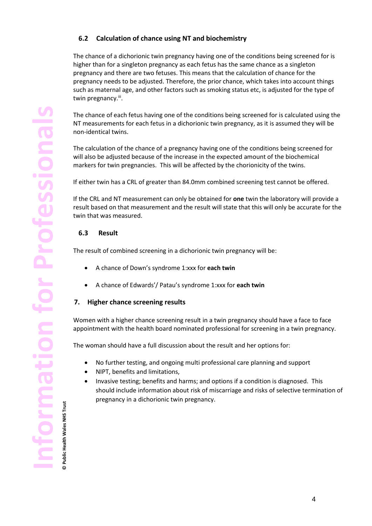# **6.2 Calculation of chance using NT and biochemistry**

The chance of a dichorionic twin pregnancy having one of the conditions being screened for is higher than for a singleton pregnancy as each fetus has the same chance as a singleton pregnancy and there are two fetuses. This means that the calculation of chance for the pregnancy needs to be adjusted. Therefore, the prior chance, which takes into account things such as maternal age, and other factors such as smoking status etc, is adjusted for the type of twin pregnancy.<sup>iii</sup>.

The chance of each fetus having one of the conditions being screened for is calculated using the NT measurements for each fetus in a dichorionic twin pregnancy, as it is assumed they will be non-identical twins.

The calculation of the chance of a pregnancy having one of the conditions being screened for will also be adjusted because of the increase in the expected amount of the biochemical markers for twin pregnancies. This will be affected by the chorionicity of the twins.

If either twin has a CRL of greater than 84.0mm combined screening test cannot be offered.

If the CRL and NT measurement can only be obtained for **one** twin the laboratory will provide a result based on that measurement and the result will state that this will only be accurate for the twin that was measured.

#### **6.3 Result**

The result of combined screening in a dichorionic twin pregnancy will be:

- A chance of Down's syndrome 1:xxx for **each twin**
- A chance of Edwards'/ Patau's syndrome 1:xxx for **each twin**

#### **7. Higher chance screening results**

Women with a higher chance screening result in a twin pregnancy should have a face to face appointment with the health board nominated professional for screening in a twin pregnancy.

The woman should have a full discussion about the result and her options for:

- No further testing, and ongoing multi professional care planning and support
- NIPT, benefits and limitations,
- Invasive testing; benefits and harms; and options if a condition is diagnosed. This should include information about risk of miscarriage and risks of selective termination of pregnancy in a dichorionic twin pregnancy.

**© Public Health Wales NHS Trust**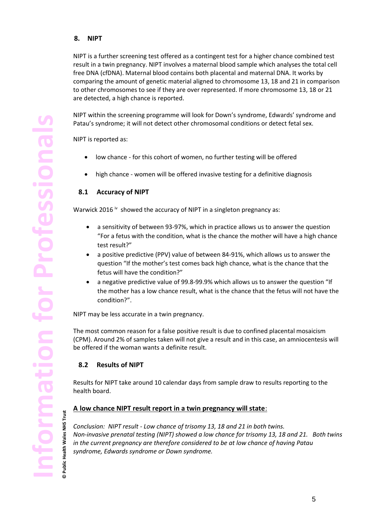### **8. NIPT**

NIPT is a further screening test offered as a contingent test for a higher chance combined test result in a twin pregnancy. NIPT involves a maternal blood sample which analyses the total cell free DNA (cfDNA). Maternal blood contains both placental and maternal DNA. It works by comparing the amount of genetic material aligned to chromosome 13, 18 and 21 in comparison to other chromosomes to see if they are over represented. If more chromosome 13, 18 or 21 are detected, a high chance is reported.

NIPT within the screening programme will look for Down's syndrome, Edwards' syndrome and Patau's syndrome; it will not detect other chromosomal conditions or detect fetal sex.

NIPT is reported as:

- low chance for this cohort of women, no further testing will be offered
- high chance women will be offered invasive testing for a definitive diagnosis

### **8.1 Accuracy of NIPT**

Warwick 2016  $\dot{v}$  showed the accuracy of NIPT in a singleton pregnancy as:

- a sensitivity of between 93-97%, which in practice allows us to answer the question "For a fetus with the condition, what is the chance the mother will have a high chance test result?"
- a positive predictive (PPV) value of between 84-91%, which allows us to answer the question "If the mother's test comes back high chance, what is the chance that the fetus will have the condition?"
- a negative predictive value of 99.8-99.9% which allows us to answer the question "If the mother has a low chance result, what is the chance that the fetus will not have the condition?".

NIPT may be less accurate in a twin pregnancy.

The most common reason for a false positive result is due to confined placental mosaicism (CPM). Around 2% of samples taken will not give a result and in this case, an amniocentesis will be offered if the woman wants a definite result.

### **8.2 Results of NIPT**

Results for NIPT take around 10 calendar days from sample draw to results reporting to the health board.

### **A low chance NIPT result report in a twin pregnancy will state**:

*Conclusion: NIPT result - Low chance of trisomy 13, 18 and 21 in both twins. Non-invasive prenatal testing (NIPT) showed a low chance for trisomy 13, 18 and 21. Both twins in the current pregnancy are therefore considered to be at low chance of having Patau syndrome, Edwards syndrome or Down syndrome.* 

**© Public Health Wales NHS Trust**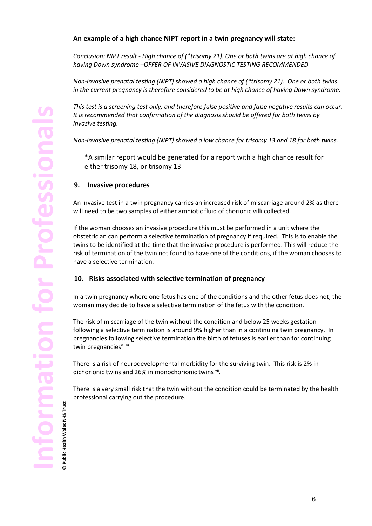## **An example of a high chance NIPT report in a twin pregnancy will state:**

*Conclusion: NIPT result - High chance of (\*trisomy 21). One or both twins are at high chance of having Down syndrome –OFFER OF INVASIVE DIAGNOSTIC TESTING RECOMMENDED*

*Non-invasive prenatal testing (NIPT) showed a high chance of (\*trisomy 21). One or both twins in the current pregnancy is therefore considered to be at high chance of having Down syndrome.* 

*This test is a screening test only, and therefore false positive and false negative results can occur. It is recommended that confirmation of the diagnosis should be offered for both twins by invasive testing.*

*Non-invasive prenatal testing (NIPT) showed a low chance for trisomy 13 and 18 for both twins.*

\*A similar report would be generated for a report with a high chance result for either trisomy 18, or trisomy 13

#### **9. Invasive procedures**

An invasive test in a twin pregnancy carries an increased risk of miscarriage around 2% as there will need to be two samples of either amniotic fluid of chorionic villi collected.

If the woman chooses an invasive procedure this must be performed in a unit where the obstetrician can perform a selective termination of pregnancy if required. This is to enable the twins to be identified at the time that the invasive procedure is performed. This will reduce the risk of termination of the twin not found to have one of the conditions, if the woman chooses to have a selective termination.

#### **10. Risks associated with selective termination of pregnancy**

In a twin pregnancy where one fetus has one of the conditions and the other fetus does not, the woman may decide to have a selective termination of the fetus with the condition.

The risk of miscarriage of the twin without the condition and below 25 weeks gestation following a selective termination is around 9% higher than in a continuing twin pregnancy. In pregnancies following selective termination the birth of fetuses is earlier than for continuing twin pregnancies<sup>v vi</sup>

There is a risk of neurodevelopmental morbidity for the surviving twin. This risk is 2% in dichorionic twins and 26% in monochorionic twins vii.

There is a very small risk that the twin without the condition could be terminated by the health professional carrying out the procedure.

**© Public Health Wales NHS Trust**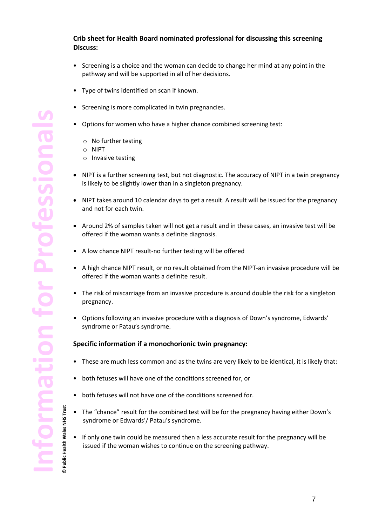## **Crib sheet for Health Board nominated professional for discussing this screening Discuss:**

- Screening is a choice and the woman can decide to change her mind at any point in the pathway and will be supported in all of her decisions.
- Type of twins identified on scan if known.
- Screening is more complicated in twin pregnancies.
- Options for women who have a higher chance combined screening test:
	- o No further testing
	- o NIPT
	- o Invasive testing
- NIPT is a further screening test, but not diagnostic. The accuracy of NIPT in a twin pregnancy is likely to be slightly lower than in a singleton pregnancy.
- NIPT takes around 10 calendar days to get a result. A result will be issued for the pregnancy and not for each twin.
- Around 2% of samples taken will not get a result and in these cases, an invasive test will be offered if the woman wants a definite diagnosis.
- A low chance NIPT result-no further testing will be offered
- A high chance NIPT result, or no result obtained from the NIPT-an invasive procedure will be offered if the woman wants a definite result.
- The risk of miscarriage from an invasive procedure is around double the risk for a singleton pregnancy.
- Options following an invasive procedure with a diagnosis of Down's syndrome, Edwards' syndrome or Patau's syndrome.

#### **Specific information if a monochorionic twin pregnancy:**

- These are much less common and as the twins are very likely to be identical, it is likely that:
- both fetuses will have one of the conditions screened for, or
- both fetuses will not have one of the conditions screened for.
- The "chance" result for the combined test will be for the pregnancy having either Down's syndrome or Edwards'/ Patau's syndrome.
- If only one twin could be measured then a less accurate result for the pregnancy will be issued if the woman wishes to continue on the screening pathway.

**© Public Health Wales NHS Trust**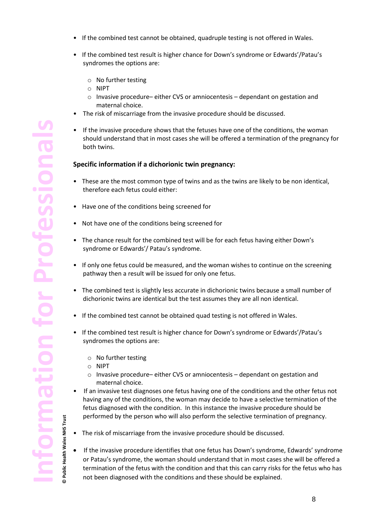- If the combined test cannot be obtained, quadruple testing is not offered in Wales.
- If the combined test result is higher chance for Down's syndrome or Edwards'/Patau's syndromes the options are:
	- o No further testing
	- o NIPT
	- o Invasive procedure– either CVS or amniocentesis dependant on gestation and maternal choice.
- The risk of miscarriage from the invasive procedure should be discussed.
- If the invasive procedure shows that the fetuses have one of the conditions, the woman should understand that in most cases she will be offered a termination of the pregnancy for both twins.

#### **Specific information if a dichorionic twin pregnancy:**

- These are the most common type of twins and as the twins are likely to be non identical, therefore each fetus could either:
- Have one of the conditions being screened for
- Not have one of the conditions being screened for
- The chance result for the combined test will be for each fetus having either Down's syndrome or Edwards'/ Patau's syndrome.
- If only one fetus could be measured, and the woman wishes to continue on the screening pathway then a result will be issued for only one fetus.
- The combined test is slightly less accurate in dichorionic twins because a small number of dichorionic twins are identical but the test assumes they are all non identical.
- If the combined test cannot be obtained quad testing is not offered in Wales.
- If the combined test result is higher chance for Down's syndrome or Edwards'/Patau's syndromes the options are:
	- o No further testing
	- o NIPT

**© Public Health Wales NHS Trust**

Public Health Wales NHS Trust

 $\odot$ 

- o Invasive procedure– either CVS or amniocentesis dependant on gestation and maternal choice.
- If an invasive test diagnoses one fetus having one of the conditions and the other fetus not having any of the conditions, the woman may decide to have a selective termination of the fetus diagnosed with the condition. In this instance the invasive procedure should be performed by the person who will also perform the selective termination of pregnancy.
- The risk of miscarriage from the invasive procedure should be discussed.
	- If the invasive procedure identifies that one fetus has Down's syndrome, Edwards' syndrome or Patau's syndrome, the woman should understand that in most cases she will be offered a termination of the fetus with the condition and that this can carry risks for the fetus who has not been diagnosed with the conditions and these should be explained.